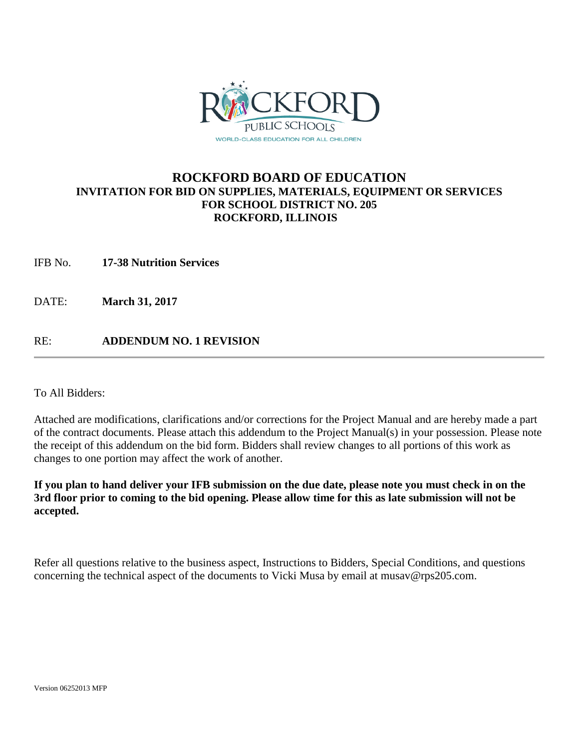

## **ROCKFORD BOARD OF EDUCATION INVITATION FOR BID ON SUPPLIES, MATERIALS, EQUIPMENT OR SERVICES FOR SCHOOL DISTRICT NO. 205 ROCKFORD, ILLINOIS**

IFB No. **17-38 Nutrition Services**

DATE: **March 31, 2017**

RE: **ADDENDUM NO. 1 REVISION**

To All Bidders:

Attached are modifications, clarifications and/or corrections for the Project Manual and are hereby made a part of the contract documents. Please attach this addendum to the Project Manual(s) in your possession. Please note the receipt of this addendum on the bid form. Bidders shall review changes to all portions of this work as changes to one portion may affect the work of another.

**If you plan to hand deliver your IFB submission on the due date, please note you must check in on the 3rd floor prior to coming to the bid opening. Please allow time for this as late submission will not be accepted.**

Refer all questions relative to the business aspect, Instructions to Bidders, Special Conditions, and questions concerning the technical aspect of the documents to Vicki Musa by email at musav@rps205.com.